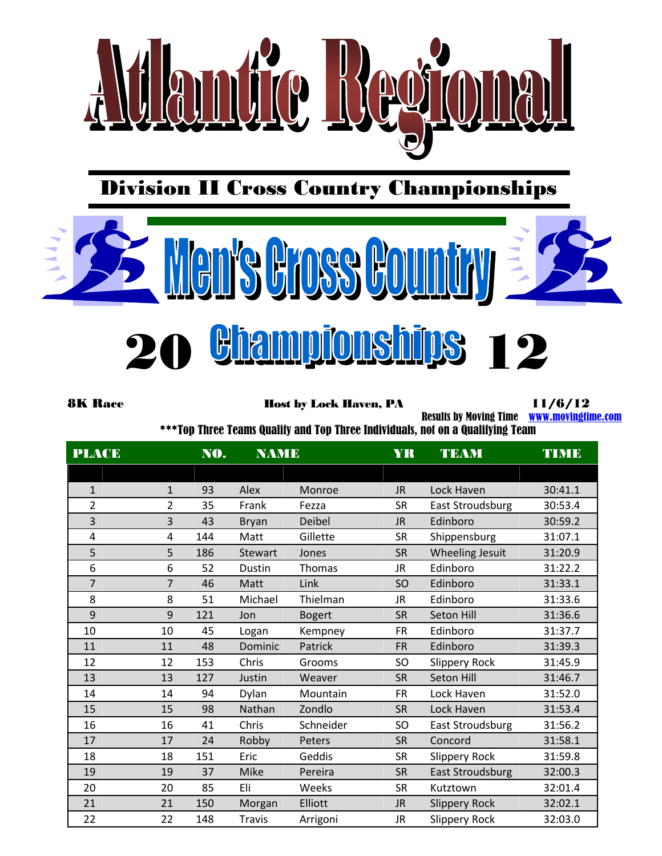

Division II Cross Country Championships



**20 Bhannpionships 12** 

8K Race **Host by Lock Haven, PA** 11/6/12

Results by Moving Time [www.movingtime.com](http://www.movingtime.com/)

\*\*\*Top Three Teams Qualify and Top Three Individuals, not on a Qualifying Team

| PLACE          | NO.<br><b>NAME</b> |     |                | <b>YR</b>     | <b>TEAM</b> | TIME                 |         |
|----------------|--------------------|-----|----------------|---------------|-------------|----------------------|---------|
|                |                    |     |                |               |             |                      |         |
| $\mathbf{1}$   | $\mathbf{1}$       | 93  | Alex           | Monroe        | <b>JR</b>   | Lock Haven           | 30:41.1 |
| $\overline{2}$ | $\overline{2}$     | 35  | Frank          | Fezza         | <b>SR</b>   | East Stroudsburg     | 30:53.4 |
| 3              | 3                  | 43  | <b>Bryan</b>   | Deibel        | <b>JR</b>   | Edinboro             | 30:59.2 |
| $\overline{4}$ | 4                  | 144 | Matt           | Gillette      | <b>SR</b>   | Shippensburg         | 31:07.1 |
| 5              | 5                  | 186 | <b>Stewart</b> | Jones         | <b>SR</b>   | Wheeling Jesuit      | 31:20.9 |
| 6              | 6                  | 52  | Dustin         | Thomas        | <b>JR</b>   | Edinboro             | 31:22.2 |
| $\overline{7}$ | $\overline{7}$     | 46  | Matt           | Link          | SO          | Edinboro             | 31:33.1 |
| 8              | 8                  | 51  | Michael        | Thielman      | <b>JR</b>   | Edinboro             | 31:33.6 |
| 9              | 9                  | 121 | Jon            | <b>Bogert</b> | <b>SR</b>   | Seton Hill           | 31:36.6 |
| 10             | 10                 | 45  | Logan          | Kempney       | <b>FR</b>   | Edinboro             | 31:37.7 |
| 11             | 11                 | 48  | Dominic        | Patrick       | <b>FR</b>   | Edinboro             | 31:39.3 |
| 12             | 12                 | 153 | Chris          | Grooms        | SO          | <b>Slippery Rock</b> | 31:45.9 |
| 13             | 13                 | 127 | Justin         | Weaver        | <b>SR</b>   | Seton Hill           | 31:46.7 |
| 14             | 14                 | 94  | Dylan          | Mountain      | <b>FR</b>   | Lock Haven           | 31:52.0 |
| 15             | 15                 | 98  | Nathan         | Zondlo        | <b>SR</b>   | Lock Haven           | 31:53.4 |
| 16             | 16                 | 41  | Chris          | Schneider     | SO          | East Stroudsburg     | 31:56.2 |
| 17             | 17                 | 24  | Robby          | Peters        | <b>SR</b>   | Concord              | 31:58.1 |
| 18             | 18                 | 151 | Eric           | Geddis        | <b>SR</b>   | <b>Slippery Rock</b> | 31:59.8 |
| 19             | 19                 | 37  | Mike           | Pereira       | <b>SR</b>   | East Stroudsburg     | 32:00.3 |
| 20             | 20                 | 85  | Eli            | Weeks         | <b>SR</b>   | Kutztown             | 32:01.4 |
| 21             | 21                 | 150 | Morgan         | Elliott       | <b>JR</b>   | <b>Slippery Rock</b> | 32:02.1 |
| 22             | 22                 | 148 | <b>Travis</b>  | Arrigoni      | <b>JR</b>   | <b>Slippery Rock</b> | 32:03.0 |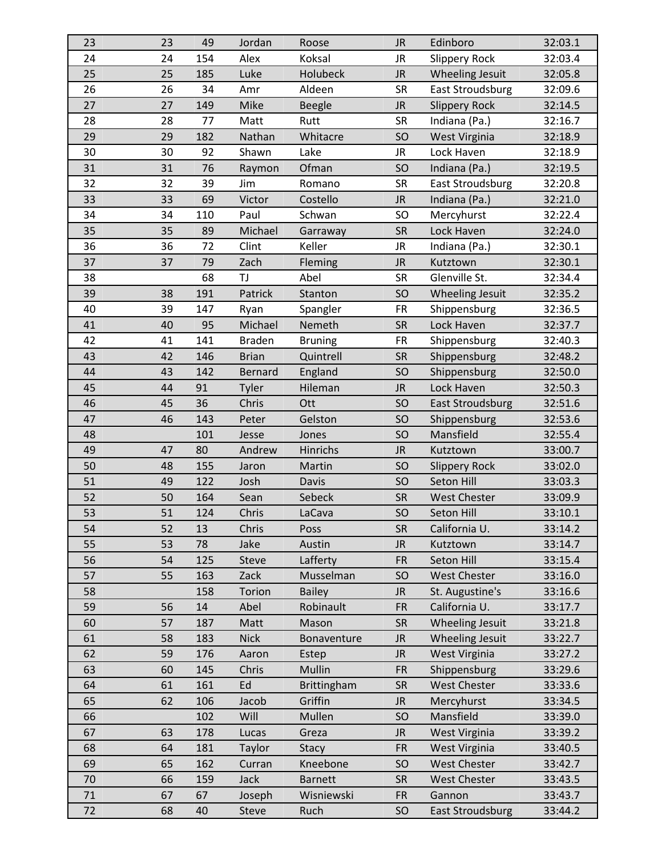| 23       | 23 | 49  | Jordan         | Roose          | <b>JR</b> | Edinboro                | 32:03.1 |
|----------|----|-----|----------------|----------------|-----------|-------------------------|---------|
| 24       | 24 | 154 | Alex           | Koksal         | <b>JR</b> | <b>Slippery Rock</b>    | 32:03.4 |
| 25       | 25 | 185 | Luke           | Holubeck       | <b>JR</b> | Wheeling Jesuit         | 32:05.8 |
| 26       | 26 | 34  | Amr            | Aldeen         | <b>SR</b> | <b>East Stroudsburg</b> | 32:09.6 |
| 27       | 27 | 149 | Mike           | <b>Beegle</b>  | <b>JR</b> | <b>Slippery Rock</b>    | 32:14.5 |
| 28       | 28 | 77  | Matt           | Rutt           | <b>SR</b> | Indiana (Pa.)           | 32:16.7 |
| 29       | 29 | 182 | Nathan         | Whitacre       | SO        | West Virginia           | 32:18.9 |
| 30       | 30 | 92  | Shawn          | Lake           | JR.       | Lock Haven              | 32:18.9 |
| 31       | 31 | 76  | Raymon         | Ofman          | SO        | Indiana (Pa.)           | 32:19.5 |
| 32       | 32 | 39  | Jim            | Romano         | <b>SR</b> | <b>East Stroudsburg</b> | 32:20.8 |
| 33       | 33 | 69  | Victor         | Costello       | <b>JR</b> | Indiana (Pa.)           | 32:21.0 |
| 34       | 34 | 110 | Paul           | Schwan         | <b>SO</b> | Mercyhurst              | 32:22.4 |
| 35       | 35 | 89  | Michael        | Garraway       | <b>SR</b> | Lock Haven              | 32:24.0 |
| 36       | 36 | 72  | Clint          | Keller         | JR.       | Indiana (Pa.)           | 32:30.1 |
| 37       | 37 | 79  | Zach           | Fleming        | <b>JR</b> | Kutztown                | 32:30.1 |
| 38       |    | 68  | TJ             | Abel           | <b>SR</b> | Glenville St.           | 32:34.4 |
| 39       | 38 | 191 | Patrick        | Stanton        | SO        | <b>Wheeling Jesuit</b>  | 32:35.2 |
| 40       | 39 | 147 | Ryan           | Spangler       | <b>FR</b> | Shippensburg            | 32:36.5 |
| 41       | 40 | 95  | Michael        | Nemeth         | <b>SR</b> | Lock Haven              | 32:37.7 |
| 42       | 41 | 141 | <b>Braden</b>  | <b>Bruning</b> | <b>FR</b> | Shippensburg            | 32:40.3 |
| 43       | 42 | 146 | <b>Brian</b>   | Quintrell      | <b>SR</b> | Shippensburg            | 32:48.2 |
| 44       | 43 | 142 | <b>Bernard</b> | England        | SO        | Shippensburg            | 32:50.0 |
| 45       | 44 | 91  | Tyler          | Hileman        | <b>JR</b> | Lock Haven              | 32:50.3 |
| 46       | 45 | 36  | Chris          | Ott            | SO        | East Stroudsburg        | 32:51.6 |
| 47       | 46 | 143 | Peter          | Gelston        | SO        | Shippensburg            | 32:53.6 |
| 48       |    | 101 | Jesse          | Jones          | SO        | Mansfield               | 32:55.4 |
| 49       | 47 | 80  | Andrew         | Hinrichs       | <b>JR</b> | Kutztown                | 33:00.7 |
| 50       | 48 | 155 | Jaron          | Martin         | SO        | <b>Slippery Rock</b>    | 33:02.0 |
| 51       | 49 | 122 | Josh           | Davis          | SO        | Seton Hill              | 33:03.3 |
| 52       | 50 | 164 | Sean           | Sebeck         | <b>SR</b> | <b>West Chester</b>     | 33:09.9 |
| 53       | 51 | 124 | Chris          | LaCava         | SO        | Seton Hill              | 33:10.1 |
| 54       | 52 | 13  | Chris          | Poss           | <b>SR</b> | California U.           | 33:14.2 |
| 55       | 53 | 78  | Jake           | Austin         | <b>JR</b> | Kutztown                | 33:14.7 |
| 56       | 54 | 125 | Steve          | Lafferty       | <b>FR</b> | Seton Hill              | 33:15.4 |
| 57       | 55 | 163 | Zack           | Musselman      | SO        | <b>West Chester</b>     | 33:16.0 |
| 58       |    | 158 | Torion         | <b>Bailey</b>  | <b>JR</b> | St. Augustine's         | 33:16.6 |
| 59       | 56 | 14  | Abel           | Robinault      | <b>FR</b> | California U.           | 33:17.7 |
| 60       | 57 | 187 | Matt           | Mason          | <b>SR</b> | <b>Wheeling Jesuit</b>  | 33:21.8 |
| 61       | 58 | 183 | <b>Nick</b>    | Bonaventure    | <b>JR</b> | Wheeling Jesuit         | 33:22.7 |
| 62       | 59 | 176 | Aaron          | Estep          | <b>JR</b> | West Virginia           | 33:27.2 |
| 63       | 60 | 145 | Chris          | Mullin         | <b>FR</b> | Shippensburg            | 33:29.6 |
| 64       | 61 | 161 | Ed             | Brittingham    | <b>SR</b> | <b>West Chester</b>     | 33:33.6 |
| 65       | 62 | 106 | Jacob          | Griffin        | <b>JR</b> | Mercyhurst              | 33:34.5 |
| 66       |    | 102 | Will           | Mullen         | <b>SO</b> | Mansfield               | 33:39.0 |
| 67       | 63 | 178 | Lucas          | Greza          | <b>JR</b> | West Virginia           | 33:39.2 |
| 68       | 64 | 181 | <b>Taylor</b>  | <b>Stacy</b>   | <b>FR</b> | West Virginia           | 33:40.5 |
| 69       | 65 | 162 | Curran         | Kneebone       | <b>SO</b> | <b>West Chester</b>     | 33:42.7 |
| 70       | 66 | 159 | Jack           | <b>Barnett</b> | <b>SR</b> | <b>West Chester</b>     | 33:43.5 |
|          |    |     |                |                |           |                         |         |
| 71<br>72 | 67 | 67  | Joseph         | Wisniewski     | <b>FR</b> | Gannon                  | 33:43.7 |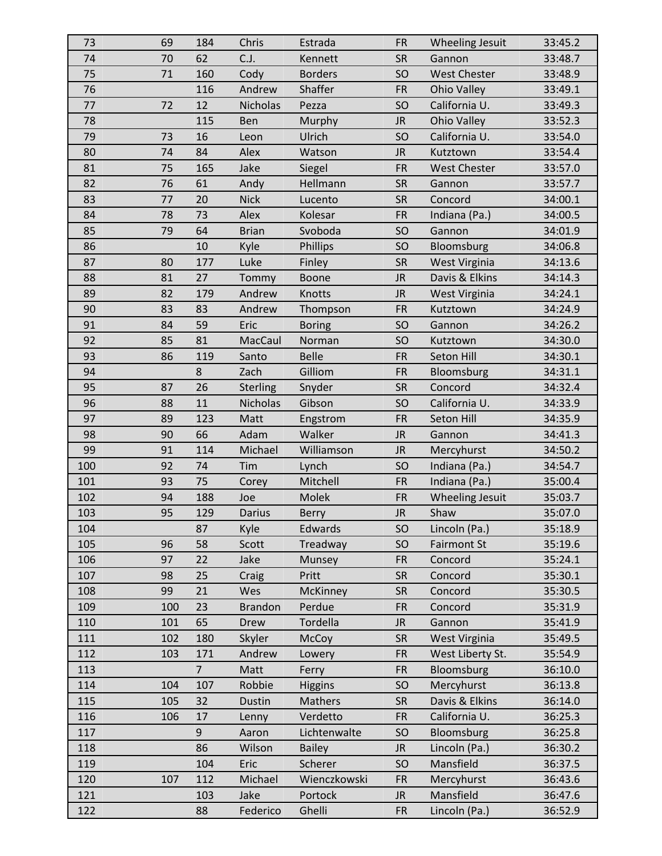| 73  | 69  | 184            | Chris           | Estrada        | <b>FR</b> | Wheeling Jesuit        | 33:45.2 |
|-----|-----|----------------|-----------------|----------------|-----------|------------------------|---------|
| 74  | 70  | 62             | C.J.            | Kennett        | <b>SR</b> | Gannon                 | 33:48.7 |
| 75  | 71  | 160            | Cody            | <b>Borders</b> | SO        | <b>West Chester</b>    | 33:48.9 |
| 76  |     | 116            | Andrew          | Shaffer        | <b>FR</b> | <b>Ohio Valley</b>     | 33:49.1 |
| 77  | 72  | 12             | Nicholas        | Pezza          | SO        | California U.          | 33:49.3 |
| 78  |     | 115            | Ben             | Murphy         | <b>JR</b> | Ohio Valley            | 33:52.3 |
| 79  | 73  | 16             | Leon            | Ulrich         | SO        | California U.          | 33:54.0 |
| 80  | 74  | 84             | Alex            | Watson         | <b>JR</b> | Kutztown               | 33:54.4 |
| 81  | 75  | 165            | Jake            | Siegel         | <b>FR</b> | <b>West Chester</b>    | 33:57.0 |
| 82  | 76  | 61             | Andy            | Hellmann       | <b>SR</b> | Gannon                 | 33:57.7 |
| 83  | 77  | 20             | <b>Nick</b>     | Lucento        | <b>SR</b> | Concord                | 34:00.1 |
| 84  | 78  | 73             | Alex            | Kolesar        | <b>FR</b> | Indiana (Pa.)          | 34:00.5 |
| 85  | 79  | 64             | <b>Brian</b>    | Svoboda        | SO        | Gannon                 | 34:01.9 |
| 86  |     | 10             | Kyle            | Phillips       | SO        | Bloomsburg             | 34:06.8 |
| 87  | 80  | 177            | Luke            | Finley         | <b>SR</b> | West Virginia          | 34:13.6 |
| 88  | 81  | 27             | Tommy           | <b>Boone</b>   | <b>JR</b> | Davis & Elkins         | 34:14.3 |
| 89  | 82  | 179            | Andrew          | Knotts         | <b>JR</b> | West Virginia          | 34:24.1 |
| 90  | 83  | 83             | Andrew          | Thompson       | <b>FR</b> | Kutztown               | 34:24.9 |
| 91  | 84  | 59             | Eric            | <b>Boring</b>  | SO        | Gannon                 | 34:26.2 |
| 92  | 85  | 81             | MacCaul         | Norman         | SO        | Kutztown               | 34:30.0 |
| 93  | 86  | 119            | Santo           | <b>Belle</b>   | <b>FR</b> | Seton Hill             | 34:30.1 |
| 94  |     | 8              | Zach            | Gilliom        | <b>FR</b> | Bloomsburg             | 34:31.1 |
| 95  | 87  | 26             | <b>Sterling</b> | Snyder         | <b>SR</b> | Concord                | 34:32.4 |
| 96  | 88  | 11             | Nicholas        | Gibson         | SO        | California U.          | 34:33.9 |
| 97  | 89  | 123            | Matt            | Engstrom       | <b>FR</b> | Seton Hill             | 34:35.9 |
| 98  | 90  | 66             | Adam            | Walker         | <b>JR</b> | Gannon                 | 34:41.3 |
| 99  | 91  | 114            | Michael         | Williamson     | <b>JR</b> | Mercyhurst             | 34:50.2 |
| 100 | 92  | 74             | Tim             | Lynch          | SO        | Indiana (Pa.)          | 34:54.7 |
| 101 | 93  | 75             | Corey           | Mitchell       | <b>FR</b> | Indiana (Pa.)          | 35:00.4 |
| 102 | 94  | 188            | Joe             | Molek          | <b>FR</b> | <b>Wheeling Jesuit</b> | 35:03.7 |
| 103 | 95  | 129            | <b>Darius</b>   | <b>Berry</b>   | <b>JR</b> | Shaw                   | 35:07.0 |
| 104 |     | 87             | Kyle            | Edwards        | SO        | Lincoln (Pa.)          | 35:18.9 |
| 105 | 96  | 58             | Scott           | Treadway       | SO        | <b>Fairmont St</b>     | 35:19.6 |
| 106 | 97  | 22             | Jake            | Munsey         | <b>FR</b> | Concord                | 35:24.1 |
| 107 | 98  | 25             | Craig           | Pritt          | <b>SR</b> | Concord                | 35:30.1 |
| 108 | 99  | 21             | Wes             | McKinney       | <b>SR</b> | Concord                | 35:30.5 |
| 109 | 100 | 23             | <b>Brandon</b>  | Perdue         | <b>FR</b> | Concord                | 35:31.9 |
| 110 | 101 | 65             | Drew            | Tordella       | <b>JR</b> | Gannon                 | 35:41.9 |
| 111 | 102 | 180            | Skyler          | <b>McCoy</b>   | <b>SR</b> | <b>West Virginia</b>   | 35:49.5 |
| 112 | 103 | 171            | Andrew          | Lowery         | <b>FR</b> | West Liberty St.       | 35:54.9 |
| 113 |     | $\overline{7}$ | Matt            | Ferry          | <b>FR</b> | Bloomsburg             | 36:10.0 |
| 114 | 104 | 107            | Robbie          | <b>Higgins</b> | SO        | Mercyhurst             | 36:13.8 |
| 115 | 105 | 32             | Dustin          | Mathers        | <b>SR</b> | Davis & Elkins         | 36:14.0 |
| 116 | 106 | 17             | Lenny           | Verdetto       | <b>FR</b> | California U.          | 36:25.3 |
| 117 |     | 9              | Aaron           | Lichtenwalte   | <b>SO</b> | Bloomsburg             | 36:25.8 |
| 118 |     | 86             | Wilson          | <b>Bailey</b>  | <b>JR</b> | Lincoln (Pa.)          | 36:30.2 |
| 119 |     | 104            | Eric            | Scherer        | <b>SO</b> | Mansfield              | 36:37.5 |
| 120 | 107 | 112            | Michael         | Wienczkowski   | <b>FR</b> | Mercyhurst             | 36:43.6 |
| 121 |     | 103            | Jake            | Portock        | <b>JR</b> | Mansfield              | 36:47.6 |
| 122 |     | 88             | Federico        | Ghelli         | <b>FR</b> | Lincoln (Pa.)          | 36:52.9 |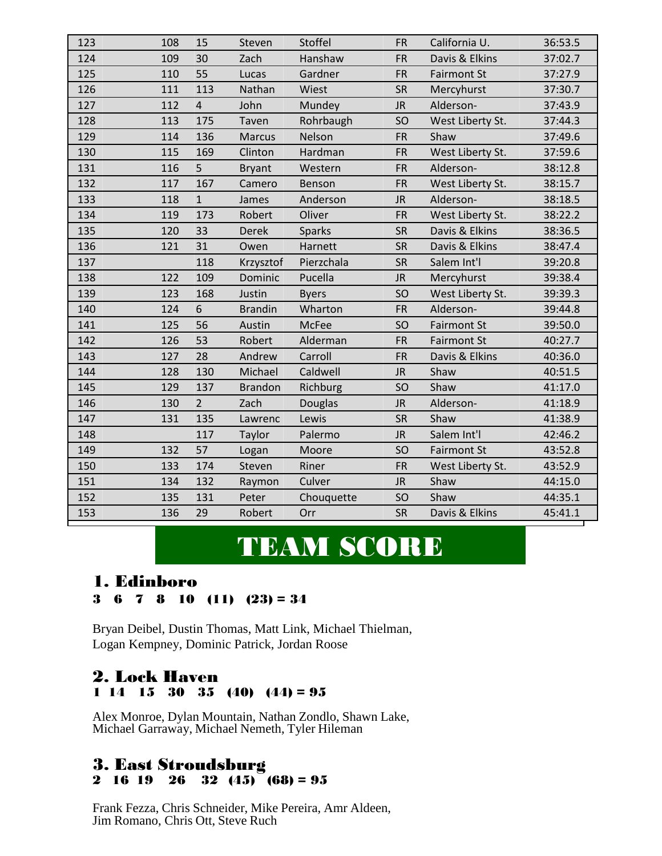| 123 | 108 | 15             | Steven         | Stoffel        | <b>FR</b> | California U.      | 36:53.5 |
|-----|-----|----------------|----------------|----------------|-----------|--------------------|---------|
| 124 | 109 | 30             | Zach           | Hanshaw        | <b>FR</b> | Davis & Elkins     | 37:02.7 |
| 125 | 110 | 55             | Lucas          | Gardner        | <b>FR</b> | <b>Fairmont St</b> | 37:27.9 |
| 126 | 111 | 113            | Nathan         | Wiest          | <b>SR</b> | Mercyhurst         | 37:30.7 |
| 127 | 112 | $\overline{4}$ | John           | Mundey         | <b>JR</b> | Alderson-          | 37:43.9 |
| 128 | 113 | 175            | Taven          | Rohrbaugh      | SO        | West Liberty St.   | 37:44.3 |
| 129 | 114 | 136            | <b>Marcus</b>  | Nelson         | <b>FR</b> | Shaw               | 37:49.6 |
| 130 | 115 | 169            | Clinton        | Hardman        | <b>FR</b> | West Liberty St.   | 37:59.6 |
| 131 | 116 | 5              | <b>Bryant</b>  | Western        | <b>FR</b> | Alderson-          | 38:12.8 |
| 132 | 117 | 167            | Camero         | Benson         | <b>FR</b> | West Liberty St.   | 38:15.7 |
| 133 | 118 | $\mathbf{1}$   | James          | Anderson       | <b>JR</b> | Alderson-          | 38:18.5 |
| 134 | 119 | 173            | Robert         | Oliver         | <b>FR</b> | West Liberty St.   | 38:22.2 |
| 135 | 120 | 33             | <b>Derek</b>   | <b>Sparks</b>  | <b>SR</b> | Davis & Elkins     | 38:36.5 |
| 136 | 121 | 31             | Owen           | Harnett        | <b>SR</b> | Davis & Elkins     | 38:47.4 |
| 137 |     | 118            | Krzysztof      | Pierzchala     | <b>SR</b> | Salem Int'l        | 39:20.8 |
| 138 | 122 | 109            | Dominic        | Pucella        | <b>JR</b> | Mercyhurst         | 39:38.4 |
| 139 | 123 | 168            | Justin         | <b>Byers</b>   | SO        | West Liberty St.   | 39:39.3 |
| 140 | 124 | 6              | <b>Brandin</b> | Wharton        | <b>FR</b> | Alderson-          | 39:44.8 |
| 141 | 125 | 56             | Austin         | <b>McFee</b>   | SO        | <b>Fairmont St</b> | 39:50.0 |
| 142 | 126 | 53             | Robert         | Alderman       | <b>FR</b> | <b>Fairmont St</b> | 40:27.7 |
| 143 | 127 | 28             | Andrew         | Carroll        | <b>FR</b> | Davis & Elkins     | 40:36.0 |
| 144 | 128 | 130            | Michael        | Caldwell       | <b>JR</b> | Shaw               | 40:51.5 |
| 145 | 129 | 137            | <b>Brandon</b> | Richburg       | SO        | Shaw               | 41:17.0 |
| 146 | 130 | $\overline{2}$ | Zach           | <b>Douglas</b> | <b>JR</b> | Alderson-          | 41:18.9 |
| 147 | 131 | 135            | Lawrenc        | Lewis          | <b>SR</b> | Shaw               | 41:38.9 |
| 148 |     | 117            | Taylor         | Palermo        | <b>JR</b> | Salem Int'l        | 42:46.2 |
| 149 | 132 | 57             | Logan          | Moore          | SO        | <b>Fairmont St</b> | 43:52.8 |
| 150 | 133 | 174            | Steven         | Riner          | <b>FR</b> | West Liberty St.   | 43:52.9 |
| 151 | 134 | 132            | Raymon         | Culver         | <b>JR</b> | Shaw               | 44:15.0 |
| 152 | 135 | 131            | Peter          | Chouquette     | SO        | Shaw               | 44:35.1 |
| 153 | 136 | 29             | Robert         | Orr            | <b>SR</b> | Davis & Elkins     | 45:41.1 |

# TEAM SCORE

# 1. Edinboro

```
3 6 7 8 10 (11) (23) = 34
```
Bryan Deibel, Dustin Thomas, Matt Link, Michael Thielman, Logan Kempney, Dominic Patrick, Jordan Roose

### 2. Lock Haven 1 14 15 30 35 (40) (44) = 95

Alex Monroe, Dylan Mountain, Nathan Zondlo, Shawn Lake, Michael Garraway, Michael Nemeth, Tyler Hileman

#### 3. East Stroudsburg 2 16 19 26 32  $(45)$   $(68) = 95$

Frank Fezza, Chris Schneider, Mike Pereira, Amr Aldeen, Jim Romano, Chris Ott, Steve Ruch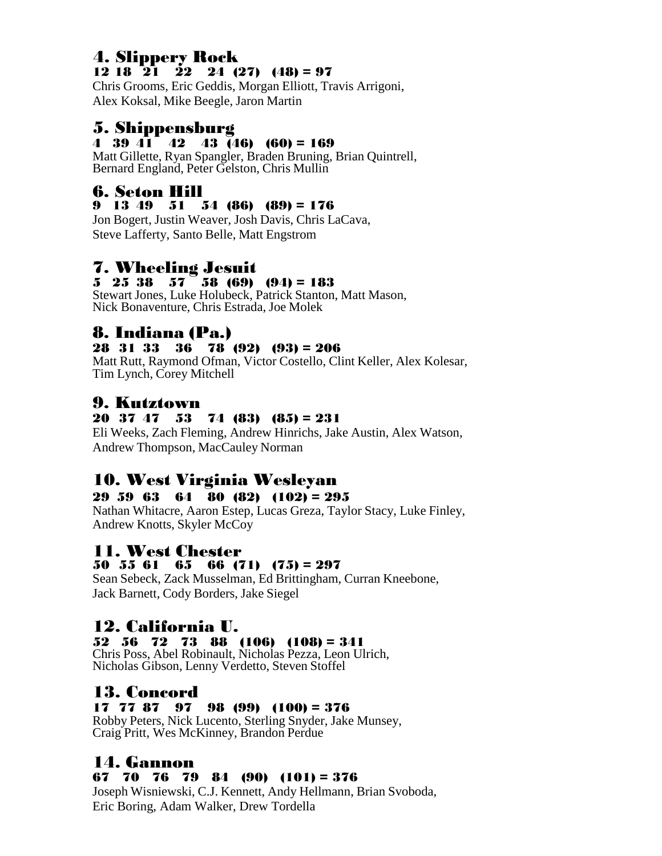### 4. Slippery Rock 12 18  $\overline{21}$   $\overline{22}$  24 (27) (48) = 97

Chris Grooms, Eric Geddis, Morgan Elliott, Travis Arrigoni, Alex Koksal, Mike Beegle, Jaron Martin

# 5. Shippensburg

#### 4 39  $\widehat{41}$  42 43  $\widehat{46}$  (60) = 169

Matt Gillette, Ryan Spangler, Braden Bruning, Brian Quintrell, Bernard England, Peter Gelston, Chris Mullin

### 6. Seton Hill

#### 9 13 49 51 54 (86) (89) = 176

Jon Bogert, Justin Weaver, Josh Davis, Chris LaCava, Steve Lafferty, Santo Belle, Matt Engstrom

# 7. Wheeling Jesuit

#### $5\quad 25\quad 38\quad 57\quad 58\quad (69)\quad (94) = 183$

Stewart Jones, Luke Holubeck, Patrick Stanton, Matt Mason, Nick Bonaventure, Chris Estrada, Joe Molek

# 8. Indiana (Pa.)

#### 28 31 33 36 78 (92) (93) = 206

Matt Rutt, Raymond Ofman, Victor Costello, Clint Keller, Alex Kolesar, Tim Lynch, Corey Mitchell

# 9. Kutztown

#### 20 37 47 53 74 (83) (85) = 231

Eli Weeks, Zach Fleming, Andrew Hinrichs, Jake Austin, Alex Watson, Andrew Thompson, MacCauley Norman

# 10. West Virginia Wesleyan

#### 29 59 63 64 80 (82) (102) = 295

Nathan Whitacre, Aaron Estep, Lucas Greza, Taylor Stacy, Luke Finley, Andrew Knotts, Skyler McCoy

### 11. West Chester

### 50 55 61 65 66 (71) (75) = 297

Sean Sebeck, Zack Musselman, Ed Brittingham, Curran Kneebone, Jack Barnett, Cody Borders, Jake Siegel

# 12. California U.

52 56 72 73 88 (106) (108) = 341 Chris Poss, Abel Robinault, Nicholas Pezza, Leon Ulrich, Nicholas Gibson, Lenny Verdetto, Steven Stoffel

### 13. Concord

#### 17 77 87 97 98 (99) (100) = 376

Robby Peters, Nick Lucento, Sterling Snyder, Jake Munsey, Craig Pritt, Wes McKinney, Brandon Perdue

# 14. Gannon

#### 67 70 76 79 84 (90) (101) = 376

Joseph Wisniewski, C.J. Kennett, Andy Hellmann, Brian Svoboda, Eric Boring, Adam Walker, Drew Tordella